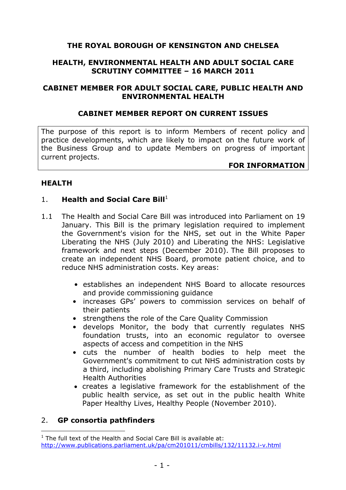## **THE ROYAL BOROUGH OF KENSINGTON AND CHELSEA**

### **HEALTH, ENVIRONMENTAL HEALTH AND ADULT SOCIAL CARE SCRUTINY COMMITTEE – 16 MARCH 2011**

#### **CABINET MEMBER FOR ADULT SOCIAL CARE, PUBLIC HEALTH AND ENVIRONMENTAL HEALTH**

#### **CABINET MEMBER REPORT ON CURRENT ISSUES**

The purpose of this report is to inform Members of recent policy and practice developments, which are likely to impact on the future work of the Business Group and to update Members on progress of important current projects.

#### **FOR INFORMATION**

#### **HEALTH**

#### 1. **Health and Social Care Bill**<sup>1</sup>

- 1.1 The Health and Social Care Bill was introduced into Parliament on 19 January. This Bill is the primary legislation required to implement the Government's vision for the NHS, set out in the White Paper Liberating the NHS (July 2010) and Liberating the NHS: Legislative framework and next steps (December 2010). The Bill proposes to create an independent NHS Board, promote patient choice, and to reduce NHS administration costs. Key areas:
	- establishes an independent NHS Board to allocate resources and provide commissioning guidance
	- increases GPs' powers to commission services on behalf of their patients
	- strengthens the role of the Care Quality Commission
	- develops Monitor, the body that currently regulates NHS foundation trusts, into an economic regulator to oversee aspects of access and competition in the NHS
	- cuts the number of health bodies to help meet the Government's commitment to cut NHS administration costs by a third, including abolishing Primary Care Trusts and Strategic Health Authorities
	- creates a legislative framework for the establishment of the public health service, as set out in the public health White Paper Healthy Lives, Healthy People (November 2010).

#### 2. **GP consortia pathfinders**

 $\overline{a}$ 

 $1$  The full text of the Health and Social Care Bill is available at: [http://www.publications.parliament.uk/pa/cm201011/cmbills/132/11132.i-v.htm](http://www.publications.parliament.uk/pa/cm201011/cmbills/132/11132.i-v.html)l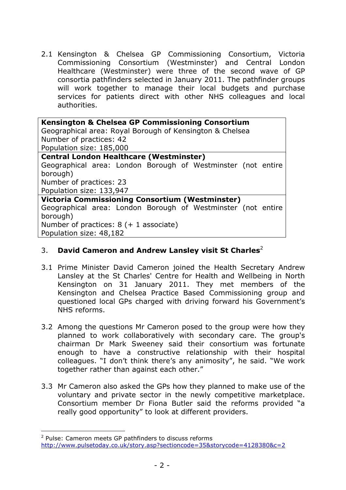2.1 Kensington & Chelsea GP Commissioning Consortium, Victoria Commissioning Consortium (Westminster) and Central London Healthcare (Westminster) were three of the second wave of GP consortia pathfinders selected in January 2011. The pathfinder groups will work together to manage their local budgets and purchase services for patients direct with other NHS colleagues and local authorities.

| <b>Kensington &amp; Chelsea GP Commissioning Consortium</b>  |
|--------------------------------------------------------------|
| Geographical area: Royal Borough of Kensington & Chelsea     |
| Number of practices: 42                                      |
| Population size: 185,000                                     |
| <b>Central London Healthcare (Westminster)</b>               |
| Geographical area: London Borough of Westminster (not entire |
| borough)                                                     |
| Number of practices: 23                                      |
| Population size: 133,947                                     |
| Victoria Commissioning Consortium (Westminster)              |
| Geographical area: London Borough of Westminster (not entire |
| borough)                                                     |
| Number of practices: $8 (+ 1$ associate)                     |
| Population size: 48,182                                      |

## 3. **David Cameron and Andrew Lansley visit St Charles**<sup>2</sup>

- 3.1 Prime Minister David Cameron joined the Health Secretary Andrew Lansley at the St Charles' Centre for Health and Wellbeing in North Kensington on 31 January 2011. They met members of the Kensington and Chelsea Practice Based Commissioning group and questioned local GPs charged with driving forward his Government's NHS reforms.
- 3.2 Among the questions Mr Cameron posed to the group were how they planned to work collaboratively with secondary care. The group's chairman Dr Mark Sweeney said their consortium was fortunate enough to have a constructive relationship with their hospital colleagues. "I don't think there's any animosity", he said. "We work together rather than against each other."
- 3.3 Mr Cameron also asked the GPs how they planned to make use of the voluntary and private sector in the newly competitive marketplace. Consortium member Dr Fiona Butler said the reforms provided "a really good opportunity" to look at different providers.

 $\overline{a}$ 

<sup>&</sup>lt;sup>2</sup> Pulse: Cameron meets GP pathfinders to discuss reforms <http://www.pulsetoday.co.uk/story.asp?sectioncode=35&storycode=4128380&c=2>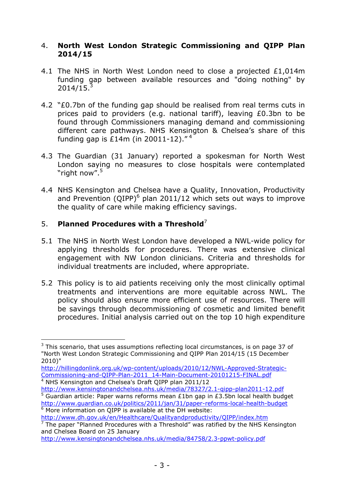## 4. **North West London Strategic Commissioning and QIPP Plan 2014/15**

- 4.1 The NHS in North West London need to close a projected £1,014m funding gap between available resources and "doing nothing" by  $2014/15$ <sup>3</sup>
- 4.2 "£0.7bn of the funding gap should be realised from real terms cuts in prices paid to providers (e.g. national tariff), leaving £0.3bn to be found through Commissioners managing demand and commissioning different care pathways. NHS Kensington & Chelsea's share of this funding gap is £14m (in 20011-12). $14^4$
- 4.3 The Guardian (31 January) reported a spokesman for North West London saying no measures to close hospitals were contemplated "right now".<sup>5</sup>
- 4.4 NHS Kensington and Chelsea have a Quality, Innovation, Productivity and Prevention (QIPP) $^6$  plan 2011/12 which sets out ways to improve the quality of care while making efficiency savings.

## 5. **Planned Procedures with a Threshold**<sup>7</sup>

 $\overline{a}$ 

- 5.1 The NHS in North West London have developed a NWL-wide policy for applying thresholds for procedures. There was extensive clinical engagement with NW London clinicians. Criteria and thresholds for individual treatments are included, where appropriate.
- 5.2 This policy is to aid patients receiving only the most clinically optimal treatments and interventions are more equitable across NWL. The policy should also ensure more efficient use of resources. There will be savings through decommissioning of cosmetic and limited benefit procedures. Initial analysis carried out on the top 10 high expenditure

<http://www.dh.gov.uk/en/Healthcare/Qualityandproductivity/QIPP/index.htm>  $7$  The paper "Planned Procedures with a Threshold" was ratified by the NHS Kensington and Chelsea Board on 25 January

 $3$  This scenario, that uses assumptions reflecting local circumstances, is on page 37 of "North West London Strategic Commissioning and QIPP Plan 2014/15 (15 December 2010)"

[http://hillingdonlink.org.uk/wp-content/uploads/2010/12/NWL-Approved-Strategic](http://hillingdonlink.org.uk/wp-content/uploads/2010/12/NWL-Approved-Strategic-Commissioning-and-QIPP-Plan-2011_14-Main-Document-20101215-FINAL.pdf)-[Commissioning-and-QIPP-Plan-2011\\_14-Main-Document-20101215-FINAL.pdf](http://hillingdonlink.org.uk/wp-content/uploads/2010/12/NWL-Approved-Strategic-Commissioning-and-QIPP-Plan-2011_14-Main-Document-20101215-FINAL.pdf) <sup>4</sup> NHS Kensington and Chelsea's Draft QIPP plan 2011/12

<sup>&</sup>lt;u><http://www.kensingtonandchelsea.nhs.uk/media/78327/2.1-qipp-plan2011-12.pdf></u><br><sup>5</sup> Guardian article: Paper warns reforms mean £1bn gap in £3.5bn local health budget <http://www.guardian.co.uk/politics/2011/jan/31/paper-reforms-local-health-budget> <sup>6</sup> More information on QIPP is available at the DH website:

<http://www.kensingtonandchelsea.nhs.uk/media/84758/2.3-ppwt-policy.pdf>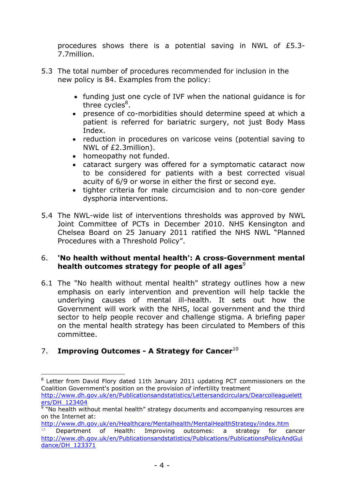procedures shows there is a potential saving in NWL of £5.3- 7.7million.

- 5.3 The total number of procedures recommended for inclusion in the new policy is 84. Examples from the policy:
	- funding just one cycle of IVF when the national guidance is for three cycles<sup>8</sup>.
	- presence of co-morbidities should determine speed at which a patient is referred for bariatric surgery, not just Body Mass Index.
	- reduction in procedures on varicose veins (potential saving to NWL of £2.3million).
	- homeopathy not funded.
	- cataract surgery was offered for a symptomatic cataract now to be considered for patients with a best corrected visual acuity of 6/9 or worse in either the first or second eye.
	- tighter criteria for male circumcision and to non-core gender dysphoria interventions.
- 5.4 The NWL-wide list of interventions thresholds was approved by NWL Joint Committee of PCTs in December 2010. NHS Kensington and Chelsea Board on 25 January 2011 ratified the NHS NWL "Planned Procedures with a Threshold Policy".

## 6. **'No health without mental health': A cross-Government mental health outcomes strategy for people of all ages<sup>9</sup>**

6.1 The "No health without mental health" strategy outlines how a new emphasis on early intervention and prevention will help tackle the underlying causes of mental ill-health. It sets out how the Government will work with the NHS, local government and the third sector to help people recover and challenge stigma. A briefing paper on the mental health strategy has been circulated to Members of this committee.

# 7. **Improving Outcomes - A Strategy for Cancer**<sup>10</sup>

 $\overline{a}$ 

<sup>&</sup>lt;sup>8</sup> Letter from David Flory dated 11th January 2011 updating PCT commissioners on the Coalition Government's position on the provision of infertility treatment [http://www.dh.gov.uk/en/Publicationsandstatistics/Lettersandcirculars/Dearcolleaguel](http://www.dh.gov.uk/en/Publicationsandstatistics/Lettersandcirculars/Dearcolleagueletters/DH_123404)ett

[ers/DH\\_123404](http://www.dh.gov.uk/en/Publicationsandstatistics/Lettersandcirculars/Dearcolleagueletters/DH_123404)<br><sup>9</sup> "No health without mental health" strategy documents and accompanying resources are on the Internet at:

<http://www.dh.gov.uk/en/Healthcare/Mentalhealth/MentalHealthStrategy/index.htm>

<sup>10</sup> Department of Health: Improving outcomes: a strategy for cancer [http://www.dh.gov.uk/en/Publicationsandstatistics/Publications/PublicationsPolicyAndG](http://www.dh.gov.uk/en/Publicationsandstatistics/Publications/PublicationsPolicyAndGuidance/DH_123371)ui [dance/DH\\_123371](http://www.dh.gov.uk/en/Publicationsandstatistics/Publications/PublicationsPolicyAndGuidance/DH_123371)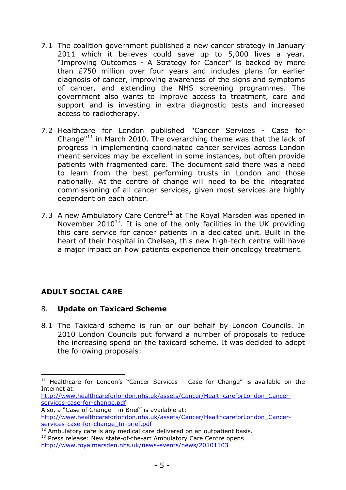- 7.1 The coalition government published a new cancer strategy in January 2011 which it believes could save up to 5,000 lives a year. "Improving Outcomes - A Strategy for Cancer" is backed by more than £750 million over four years and includes plans for earlier diagnosis of cancer, improving awareness of the signs and symptoms of cancer, and extending the NHS screening programmes. The government also wants to improve access to treatment, care and support and is investing in extra diagnostic tests and increased access to radiotherapy.
- 7.2 Healthcare for London published "Cancer Services Case for Change" $11$  in March 2010. The overarching theme was that the lack of progress in implementing coordinated cancer services across London meant services may be excellent in some instances, but often provide patients with fragmented care. The document said there was a need to learn from the best performing trusts in London and those nationally. At the centre of change will need to be the integrated commissioning of all cancer services, given most services are highly dependent on each other.
- 7.3 A new Ambulatory Care Centre $12$  at The Royal Marsden was opened in November 2010<sup>13</sup>. It is one of the only facilities in the UK providing this care service for cancer patients in a dedicated unit. Built in the heart of their hospital in Chelsea, this new high-tech centre will have a major impact on how patients experience their oncology treatment.

# **ADULT SOCIAL CARE**

 $\overline{a}$ 

## 8. **Update on Taxicard Scheme**

8.1 The Taxicard scheme is run on our behalf by London Councils. In 2010 London Councils put forward a number of proposals to reduce the increasing spend on the taxicard scheme. It was decided to adopt the following proposals:

 $11$  Healthcare for London's "Cancer Services - Case for Change" is available on the Internet at:

[http://www.healthcareforlondon.nhs.uk/assets/Cancer/HealthcareforLondon\\_Cancer](http://www.healthcareforlondon.nhs.uk/assets/Cancer/HealthcareforLondon_Cancer-services-case-for-change.pdf)[services-case-for-change.pdf](http://www.healthcareforlondon.nhs.uk/assets/Cancer/HealthcareforLondon_Cancer-services-case-for-change.pdf) 

Also, a "Case of Change - in Brief" is available at: [http://www.healthcareforlondon.nhs.uk/assets/Cancer/HealthcareforLondon\\_Cance](http://www.healthcareforlondon.nhs.uk/assets/Cancer/HealthcareforLondon_Cancer-services-case-for-change_In-brief.pdf)r[services-case-for-change\\_In-brief.pdf](http://www.healthcareforlondon.nhs.uk/assets/Cancer/HealthcareforLondon_Cancer-services-case-for-change_In-brief.pdf)

<sup>&</sup>lt;sup>12</sup> Ambulatory care is any medical care delivered on an outpatient basis.

 $13$  Press release: New state-of-the-art Ambulatory Care Centre opens <http://www.royalmarsden.nhs.uk/news-events/news/20101103>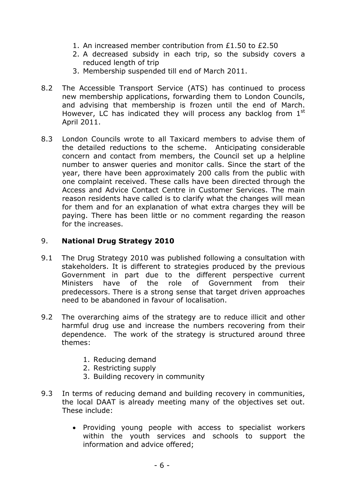- 1. An increased member contribution from £1.50 to £2.50
- 2. A decreased subsidy in each trip, so the subsidy covers a reduced length of trip
- 3. Membership suspended till end of March 2011.
- 8.2 The Accessible Transport Service (ATS) has continued to process new membership applications, forwarding them to London Councils, and advising that membership is frozen until the end of March. However, LC has indicated they will process any backlog from  $1<sup>st</sup>$ April 2011.
- 8.3 London Councils wrote to all Taxicard members to advise them of the detailed reductions to the scheme. Anticipating considerable concern and contact from members, the Council set up a helpline number to answer queries and monitor calls. Since the start of the year, there have been approximately 200 calls from the public with one complaint received. These calls have been directed through the Access and Advice Contact Centre in Customer Services. The main reason residents have called is to clarify what the changes will mean for them and for an explanation of what extra charges they will be paying. There has been little or no comment regarding the reason for the increases.

## 9. **National Drug Strategy 2010**

- 9.1 The Drug Strategy 2010 was published following a consultation with stakeholders. It is different to strategies produced by the previous Government in part due to the different perspective current Ministers have of the role of Government from their predecessors. There is a strong sense that target driven approaches need to be abandoned in favour of localisation.
- 9.2 The overarching aims of the strategy are to reduce illicit and other harmful drug use and increase the numbers recovering from their dependence. The work of the strategy is structured around three themes:
	- 1. Reducing demand
	- 2. Restricting supply
	- 3. Building recovery in community
- 9.3 In terms of reducing demand and building recovery in communities, the local DAAT is already meeting many of the objectives set out. These include:
	- Providing young people with access to specialist workers within the youth services and schools to support the information and advice offered;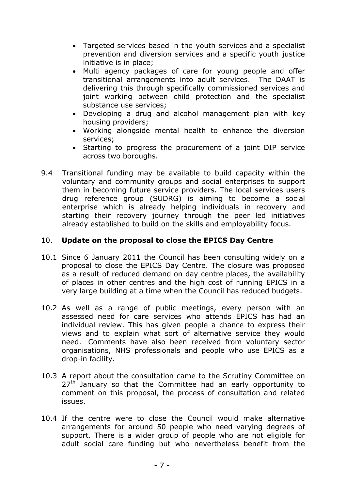- Targeted services based in the youth services and a specialist prevention and diversion services and a specific youth justice initiative is in place;
- Multi agency packages of care for young people and offer transitional arrangements into adult services. The DAAT is delivering this through specifically commissioned services and joint working between child protection and the specialist substance use services;
- Developing a drug and alcohol management plan with key housing providers;
- Working alongside mental health to enhance the diversion services;
- Starting to progress the procurement of a joint DIP service across two boroughs.
- 9.4 Transitional funding may be available to build capacity within the voluntary and community groups and social enterprises to support them in becoming future service providers. The local services users drug reference group (SUDRG) is aiming to become a social enterprise which is already helping individuals in recovery and starting their recovery journey through the peer led initiatives already established to build on the skills and employability focus.

## 10. **Update on the proposal to close the EPICS Day Centre**

- 10.1 Since 6 January 2011 the Council has been consulting widely on a proposal to close the EPICS Day Centre. The closure was proposed as a result of reduced demand on day centre places, the availability of places in other centres and the high cost of running EPICS in a very large building at a time when the Council has reduced budgets.
- 10.2 As well as a range of public meetings, every person with an assessed need for care services who attends EPICS has had an individual review. This has given people a chance to express their views and to explain what sort of alternative service they would need. Comments have also been received from voluntary sector organisations, NHS professionals and people who use EPICS as a drop-in facility.
- 10.3 A report about the consultation came to the Scrutiny Committee on  $27<sup>th</sup>$  January so that the Committee had an early opportunity to comment on this proposal, the process of consultation and related issues.
- 10.4 If the centre were to close the Council would make alternative arrangements for around 50 people who need varying degrees of support. There is a wider group of people who are not eligible for adult social care funding but who nevertheless benefit from the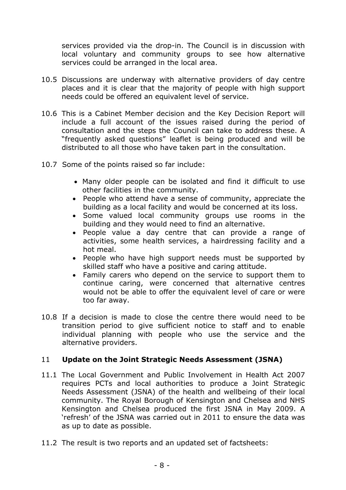services provided via the drop-in. The Council is in discussion with local voluntary and community groups to see how alternative services could be arranged in the local area.

- 10.5 Discussions are underway with alternative providers of day centre places and it is clear that the majority of people with high support needs could be offered an equivalent level of service.
- 10.6 This is a Cabinet Member decision and the Key Decision Report will include a full account of the issues raised during the period of consultation and the steps the Council can take to address these. A "frequently asked questions" leaflet is being produced and will be distributed to all those who have taken part in the consultation.
- 10.7 Some of the points raised so far include:
	- Many older people can be isolated and find it difficult to use other facilities in the community.
	- People who attend have a sense of community, appreciate the building as a local facility and would be concerned at its loss.
	- Some valued local community groups use rooms in the building and they would need to find an alternative.
	- People value a day centre that can provide a range of activities, some health services, a hairdressing facility and a hot meal.
	- People who have high support needs must be supported by skilled staff who have a positive and caring attitude.
	- Family carers who depend on the service to support them to continue caring, were concerned that alternative centres would not be able to offer the equivalent level of care or were too far away.
- 10.8 If a decision is made to close the centre there would need to be transition period to give sufficient notice to staff and to enable individual planning with people who use the service and the alternative providers.

## 11 **Update on the Joint Strategic Needs Assessment (JSNA)**

- 11.1 The Local Government and Public Involvement in Health Act 2007 requires PCTs and local authorities to produce a Joint Strategic Needs Assessment (JSNA) of the health and wellbeing of their local community. The Royal Borough of Kensington and Chelsea and NHS Kensington and Chelsea produced the first JSNA in May 2009. A 'refresh' of the JSNA was carried out in 2011 to ensure the data was as up to date as possible.
- 11.2 The result is two reports and an updated set of factsheets: